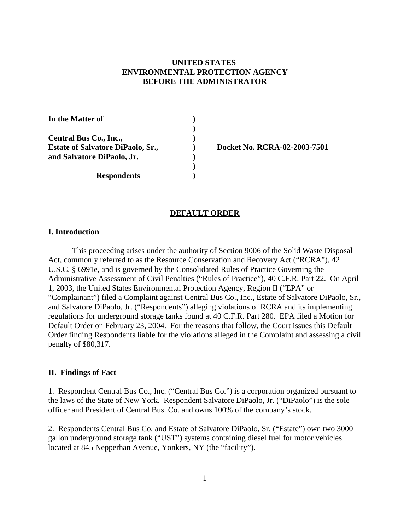# **UNITED STATES ENVIRONMENTAL PROTECTION AGENCY BEFORE THE ADMINISTRATOR**

In the Matter of  $\qquad \qquad$  **) ) Central Bus Co., Inc., ) Estate of Salvatore DiPaolo, Sr., <br> (Docket No. RCRA-02-2003-7501) and Salvatore DiPaolo, Jr. ) ) Respondents )** 

#### **DEFAULT ORDER**

### **I. Introduction**

This proceeding arises under the authority of Section 9006 of the Solid Waste Disposal Act, commonly referred to as the Resource Conservation and Recovery Act ("RCRA"), 42 U.S.C. § 6991e, and is governed by the Consolidated Rules of Practice Governing the Administrative Assessment of Civil Penalties ("Rules of Practice"), 40 C.F.R. Part 22. On April 1, 2003, the United States Environmental Protection Agency, Region II ("EPA" or "Complainant") filed a Complaint against Central Bus Co., Inc., Estate of Salvatore DiPaolo, Sr., and Salvatore DiPaolo, Jr. ("Respondents") alleging violations of RCRA and its implementing regulations for underground storage tanks found at 40 C.F.R. Part 280. EPA filed a Motion for Default Order on February 23, 2004. For the reasons that follow, the Court issues this Default Order finding Respondents liable for the violations alleged in the Complaint and assessing a civil penalty of \$80,317.

## **II. Findings of Fact**

1. Respondent Central Bus Co., Inc. ("Central Bus Co.") is a corporation organized pursuant to the laws of the State of New York. Respondent Salvatore DiPaolo, Jr. ("DiPaolo") is the sole officer and President of Central Bus. Co. and owns 100% of the company's stock.

2. Respondents Central Bus Co. and Estate of Salvatore DiPaolo, Sr. ("Estate") own two 3000 gallon underground storage tank ("UST") systems containing diesel fuel for motor vehicles located at 845 Nepperhan Avenue, Yonkers, NY (the "facility").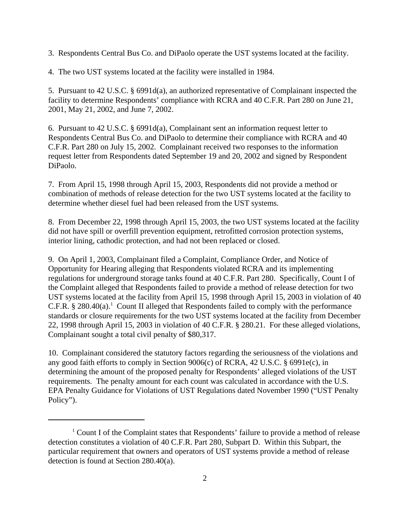3. Respondents Central Bus Co. and DiPaolo operate the UST systems located at the facility.

4. The two UST systems located at the facility were installed in 1984.

5. Pursuant to 42 U.S.C. § 6991d(a), an authorized representative of Complainant inspected the facility to determine Respondents' compliance with RCRA and 40 C.F.R. Part 280 on June 21, 2001, May 21, 2002, and June 7, 2002.

6. Pursuant to 42 U.S.C. § 6991d(a), Complainant sent an information request letter to Respondents Central Bus Co. and DiPaolo to determine their compliance with RCRA and 40 C.F.R. Part 280 on July 15, 2002. Complainant received two responses to the information request letter from Respondents dated September 19 and 20, 2002 and signed by Respondent DiPaolo.

7. From April 15, 1998 through April 15, 2003, Respondents did not provide a method or combination of methods of release detection for the two UST systems located at the facility to determine whether diesel fuel had been released from the UST systems.

8. From December 22, 1998 through April 15, 2003, the two UST systems located at the facility did not have spill or overfill prevention equipment, retrofitted corrosion protection systems, interior lining, cathodic protection, and had not been replaced or closed.

9. On April 1, 2003, Complainant filed a Complaint, Compliance Order, and Notice of Opportunity for Hearing alleging that Respondents violated RCRA and its implementing regulations for underground storage tanks found at 40 C.F.R. Part 280. Specifically, Count I of the Complaint alleged that Respondents failed to provide a method of release detection for two UST systems located at the facility from April 15, 1998 through April 15, 2003 in violation of 40 C.F.R.  $\S 280.40(a)$ .<sup>1</sup> Count II alleged that Respondents failed to comply with the performance standards or closure requirements for the two UST systems located at the facility from December 22, 1998 through April 15, 2003 in violation of 40 C.F.R. § 280.21. For these alleged violations, Complainant sought a total civil penalty of \$80,317.

10. Complainant considered the statutory factors regarding the seriousness of the violations and any good faith efforts to comply in Section 9006(c) of RCRA, 42 U.S.C. § 6991e(c), in determining the amount of the proposed penalty for Respondents' alleged violations of the UST requirements. The penalty amount for each count was calculated in accordance with the U.S. EPA Penalty Guidance for Violations of UST Regulations dated November 1990 ("UST Penalty Policy").

<sup>&</sup>lt;sup>1</sup> Count I of the Complaint states that Respondents' failure to provide a method of release detection constitutes a violation of 40 C.F.R. Part 280, Subpart D. Within this Subpart, the particular requirement that owners and operators of UST systems provide a method of release detection is found at Section 280.40(a).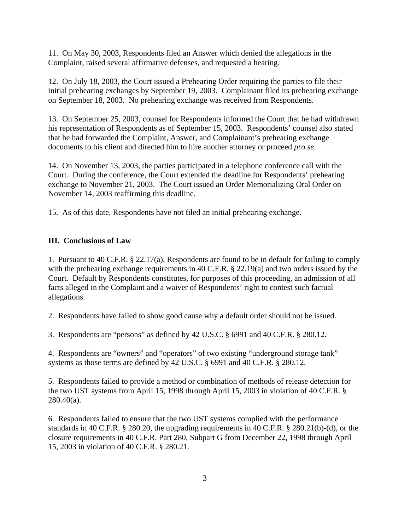11. On May 30, 2003, Respondents filed an Answer which denied the allegations in the Complaint, raised several affirmative defenses, and requested a hearing.

12. On July 18, 2003, the Court issued a Prehearing Order requiring the parties to file their initial prehearing exchanges by September 19, 2003. Complainant filed its prehearing exchange on September 18, 2003. No prehearing exchange was received from Respondents.

13. On September 25, 2003, counsel for Respondents informed the Court that he had withdrawn his representation of Respondents as of September 15, 2003. Respondents' counsel also stated that he had forwarded the Complaint, Answer, and Complainant's prehearing exchange documents to his client and directed him to hire another attorney or proceed *pro se*.

14. On November 13, 2003, the parties participated in a telephone conference call with the Court. During the conference, the Court extended the deadline for Respondents' prehearing exchange to November 21, 2003. The Court issued an Order Memorializing Oral Order on November 14, 2003 reaffirming this deadline.

15. As of this date, Respondents have not filed an initial prehearing exchange.

# **III. Conclusions of Law**

1. Pursuant to 40 C.F.R. § 22.17(a), Respondents are found to be in default for failing to comply with the prehearing exchange requirements in 40 C.F.R. § 22.19(a) and two orders issued by the Court. Default by Respondents constitutes, for purposes of this proceeding, an admission of all facts alleged in the Complaint and a waiver of Respondents' right to contest such factual allegations.

2. Respondents have failed to show good cause why a default order should not be issued.

3. Respondents are "persons" as defined by 42 U.S.C. § 6991 and 40 C.F.R. § 280.12.

4. Respondents are "owners" and "operators" of two existing "underground storage tank" systems as those terms are defined by 42 U.S.C. § 6991 and 40 C.F.R. § 280.12.

5. Respondents failed to provide a method or combination of methods of release detection for the two UST systems from April 15, 1998 through April 15, 2003 in violation of 40 C.F.R. §  $280.40(a)$ .

6. Respondents failed to ensure that the two UST systems complied with the performance standards in 40 C.F.R. § 280.20, the upgrading requirements in 40 C.F.R. § 280.21(b)-(d), or the closure requirements in 40 C.F.R. Part 280, Subpart G from December 22, 1998 through April 15, 2003 in violation of 40 C.F.R. § 280.21.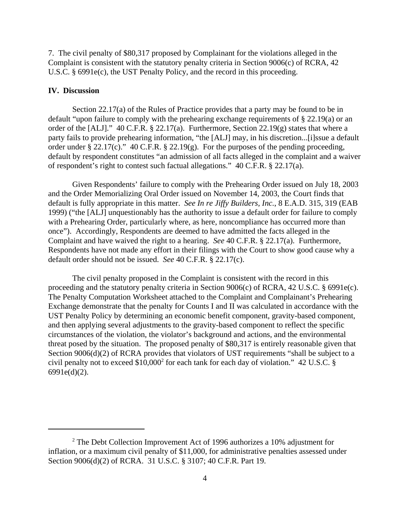7. The civil penalty of \$80,317 proposed by Complainant for the violations alleged in the Complaint is consistent with the statutory penalty criteria in Section 9006(c) of RCRA, 42 U.S.C. § 6991e(c), the UST Penalty Policy, and the record in this proceeding.

### **IV. Discussion**

Section 22.17(a) of the Rules of Practice provides that a party may be found to be in default "upon failure to comply with the prehearing exchange requirements of § 22.19(a) or an order of the [ALJ]." 40 C.F.R. § 22.17(a). Furthermore, Section 22.19(g) states that where a party fails to provide prehearing information, "the [ALJ] may, in his discretion...[i]ssue a default order under § 22.17(c)." 40 C.F.R. § 22.19(g). For the purposes of the pending proceeding, default by respondent constitutes "an admission of all facts alleged in the complaint and a waiver of respondent's right to contest such factual allegations." 40 C.F.R. § 22.17(a).

Given Respondents' failure to comply with the Prehearing Order issued on July 18, 2003 and the Order Memorializing Oral Order issued on November 14, 2003, the Court finds that default is fully appropriate in this matter. *See In re Jiffy Builders, Inc.*, 8 E.A.D. 315, 319 (EAB 1999) ("the [ALJ] unquestionably has the authority to issue a default order for failure to comply with a Prehearing Order, particularly where, as here, noncompliance has occurred more than once"). Accordingly, Respondents are deemed to have admitted the facts alleged in the Complaint and have waived the right to a hearing. *See* 40 C.F.R. § 22.17(a). Furthermore, Respondents have not made any effort in their filings with the Court to show good cause why a default order should not be issued. *See* 40 C.F.R. § 22.17(c).

The civil penalty proposed in the Complaint is consistent with the record in this proceeding and the statutory penalty criteria in Section 9006(c) of RCRA, 42 U.S.C. § 6991e(c). The Penalty Computation Worksheet attached to the Complaint and Complainant's Prehearing Exchange demonstrate that the penalty for Counts I and II was calculated in accordance with the UST Penalty Policy by determining an economic benefit component, gravity-based component, and then applying several adjustments to the gravity-based component to reflect the specific circumstances of the violation, the violator's background and actions, and the environmental threat posed by the situation. The proposed penalty of \$80,317 is entirely reasonable given that Section 9006(d)(2) of RCRA provides that violators of UST requirements "shall be subject to a civil penalty not to exceed  $$10,000^2$  for each tank for each day of violation." 42 U.S.C. § 6991e(d)(2).

<sup>&</sup>lt;sup>2</sup> The Debt Collection Improvement Act of 1996 authorizes a 10% adjustment for inflation, or a maximum civil penalty of \$11,000, for administrative penalties assessed under Section 9006(d)(2) of RCRA. 31 U.S.C. § 3107; 40 C.F.R. Part 19.